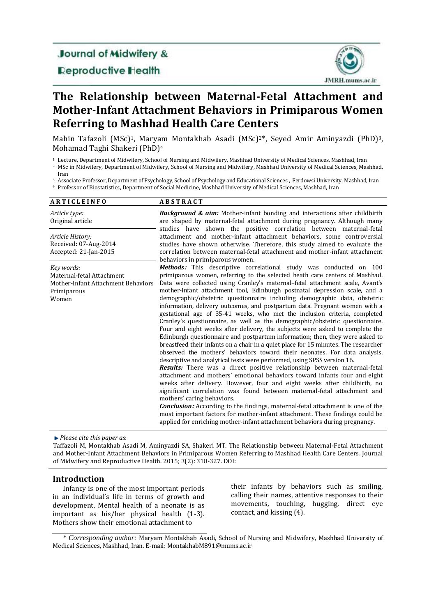# **Journal of Midwifery &**

## **Deproductive Health**



# **The Relationship between Maternal-Fetal Attachment and Mother-Infant Attachment Behaviors in Primiparous Women Referring to Mashhad Health Care Centers**

Mahin Tafazoli (MSc)<sup>1</sup>, Maryam Montakhab Asadi (MSc)<sup>2\*</sup>, Seyed Amir Aminyazdi (PhD)<sup>3</sup>, Mohamad Taghi Shakeri (PhD)<sup>4</sup>

<sup>1</sup> Lecture, Department of Midwifery, School of Nursing and Midwifery, Mashhad University of Medical Sciences, Mashhad, Iran

- <sup>2</sup> MSc in Midwifery, Department of Midwifery, School of Nursing and Midwifery, Mashhad University of Medical Sciences, Mashhad,
- Iran

<sup>3</sup> Associate Professor, Department of Psychology, School of Psychology and Educational Sciences , Ferdowsi University, Mashhad, Iran

<sup>4</sup> Professor of Biostatistics, Department of Social Medicine, Mashhad University of Medical Sciences, Mashhad, Iran

| <b>ARTICLEINFO</b>                                                                                    | <b>ABSTRACT</b>                                                                                                                                                                                                                                                                                                                                                                                                                                                                                                                                                                                                                                                                                                                                                                                                                                                                                                                                                                                                                                                                                                                                                                                                                                                                                                                                                                                                                                                                                                                                                                                                                                             |
|-------------------------------------------------------------------------------------------------------|-------------------------------------------------------------------------------------------------------------------------------------------------------------------------------------------------------------------------------------------------------------------------------------------------------------------------------------------------------------------------------------------------------------------------------------------------------------------------------------------------------------------------------------------------------------------------------------------------------------------------------------------------------------------------------------------------------------------------------------------------------------------------------------------------------------------------------------------------------------------------------------------------------------------------------------------------------------------------------------------------------------------------------------------------------------------------------------------------------------------------------------------------------------------------------------------------------------------------------------------------------------------------------------------------------------------------------------------------------------------------------------------------------------------------------------------------------------------------------------------------------------------------------------------------------------------------------------------------------------------------------------------------------------|
| Article type:<br>Original article                                                                     | <b>Background &amp; aim:</b> Mother-infant bonding and interactions after childbirth<br>are shaped by maternal-fetal attachment during pregnancy. Although many<br>studies have shown the positive correlation between maternal-fetal                                                                                                                                                                                                                                                                                                                                                                                                                                                                                                                                                                                                                                                                                                                                                                                                                                                                                                                                                                                                                                                                                                                                                                                                                                                                                                                                                                                                                       |
| Article History:<br>Received: 07-Aug-2014<br>Accepted: 21-Jan-2015                                    | attachment and mother-infant attachment behaviors, some controversial<br>studies have shown otherwise. Therefore, this study aimed to evaluate the<br>correlation between maternal-fetal attachment and mother-infant attachment<br>behaviors in primiparous women.                                                                                                                                                                                                                                                                                                                                                                                                                                                                                                                                                                                                                                                                                                                                                                                                                                                                                                                                                                                                                                                                                                                                                                                                                                                                                                                                                                                         |
| Key words:<br>Maternal-fetal Attachment<br>Mother-infant Attachment Behaviors<br>Primiparous<br>Women | Methods: This descriptive correlational study was conducted on 100<br>primiparous women, referring to the selected heath care centers of Mashhad.<br>Data were collected using Cranley's maternal-fetal attachment scale, Avant's<br>mother-infant attachment tool, Edinburgh postnatal depression scale, and a<br>demographic/obstetric questionnaire including demographic data, obstetric<br>information, delivery outcomes, and postpartum data. Pregnant women with a<br>gestational age of 35-41 weeks, who met the inclusion criteria, completed<br>Cranley's questionnaire, as well as the demographic/obstetric questionnaire.<br>Four and eight weeks after delivery, the subjects were asked to complete the<br>Edinburgh questionnaire and postpartum information; then, they were asked to<br>breastfeed their infants on a chair in a quiet place for 15 minutes. The researcher<br>observed the mothers' behaviors toward their neonates. For data analysis,<br>descriptive and analytical tests were performed, using SPSS version 16.<br>Results: There was a direct positive relationship between maternal-fetal<br>attachment and mothers' emotional behaviors toward infants four and eight<br>weeks after delivery. However, four and eight weeks after childbirth, no<br>significant correlation was found between maternal-fetal attachment and<br>mothers' caring behaviors.<br><b>Conclusion:</b> According to the findings, maternal-fetal attachment is one of the<br>most important factors for mother-infant attachment. These findings could be<br>applied for enriching mother-infant attachment behaviors during pregnancy. |

*Please cite this paper as*:

Taffazoli M, Montakhab Asadi M, Aminyazdi SA, Shakeri MT. The Relationship between Maternal-Fetal Attachment and Mother-Infant Attachment Behaviors in Primiparous Women Referring to Mashhad Health Care Centers. Journal of Midwifery and Reproductive Health. 2015; 3(2): 318-327. DOI:

#### **Introduction**

Infancy is one of the most important periods in an individual's life in terms of growth and development. Mental health of a neonate is as important as his/her physical health (1-3). Mothers show their emotional attachment to

their infants by behaviors such as smiling, calling their names, attentive responses to their movements, touching, hugging, direct eye contact, and kissing (4).

<sup>\*</sup> *Corresponding author:* Maryam Montakhab Asadi, School of Nursing and Midwifery, Mashhad University of Medical Sciences, Mashhad, Iran. E-mail: MontakhabM891@mums.ac.ir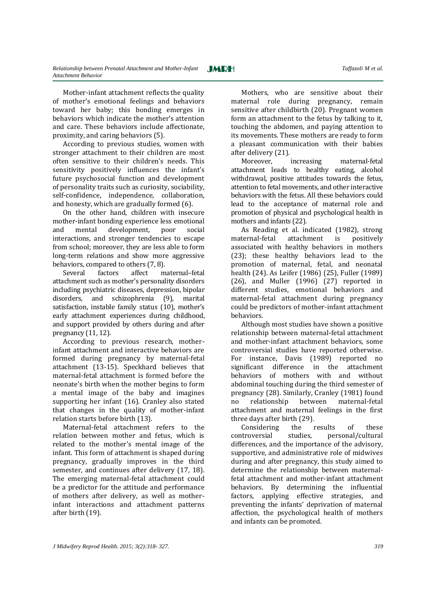Mother-infant attachment reflects the quality of mother's emotional feelings and behaviors toward her baby; this bonding emerges in behaviors which indicate the mother's attention and care. These behaviors include affectionate, proximity, and caring behaviors (5).

According to previous studies, women with stronger attachment to their children are most often sensitive to their children's needs. This sensitivity positively influences the infant's future psychosocial function and development of personality traits such as curiosity, sociability, self-confidence, independence, collaboration, and honesty, which are gradually formed (6).

On the other hand, children with insecure mother-infant bonding experience less emotional and mental development, poor social interactions, and stronger tendencies to escape from school; moreover, they are less able to form long-term relations and show more aggressive behaviors, compared to others (7, 8).

Several factors affect maternal–fetal attachment such as mother's personality disorders including psychiatric diseases, depression, bipolar disorders, and schizophrenia (9), marital satisfaction, instable family status (10), mother's early attachment experiences during childhood, and support provided by others during and after pregnancy (11, 12).

According to previous research, motherinfant attachment and interactive behaviors are formed during pregnancy by maternal-fetal attachment (13-15). Speckhard believes that maternal-fetal attachment is formed before the neonate's birth when the mother begins to form a mental image of the baby and imagines supporting her infant (16). Cranley also stated that changes in the quality of mother-infant relation starts before birth (13).

Maternal-fetal attachment refers to the relation between mother and fetus, which is related to the mother's mental image of the infant. This form of attachment is shaped during pregnancy, gradually improves in the third semester, and continues after delivery (17, 18). The emerging maternal-fetal attachment could be a predictor for the attitude and performance of mothers after delivery, as well as motherinfant interactions and attachment patterns after birth (19).

Mothers, who are sensitive about their maternal role during pregnancy, remain sensitive after childbirth (20). Pregnant women form an attachment to the fetus by talking to it, touching the abdomen, and paying attention to its movements. These mothers are ready to form a pleasant communication with their babies after delivery (21).

Moreover, increasing maternal-fetal attachment leads to healthy eating, alcohol withdrawal, positive attitudes towards the fetus, attention to fetal movements, and other interactive behaviors with the fetus. All these behaviors could lead to the acceptance of maternal role and promotion of physical and psychological health in mothers and infants (22).

As Reading et al. indicated (1982), strong maternal-fetal attachment is positively associated with healthy behaviors in mothers (23); these healthy behaviors lead to the promotion of maternal, fetal, and neonatal health (24). As Leifer (1986) (25), Fuller (1989) (26), and Muller (1996) (27) reported in different studies, emotional behaviors and maternal-fetal attachment during pregnancy could be predictors of mother-infant attachment behaviors.

Although most studies have shown a positive relationship between maternal-fetal attachment and mother-infant attachment behaviors, some controversial studies have reported otherwise. For instance, Davis (1989) reported no significant difference in the attachment behaviors of mothers with and without abdominal touching during the third semester of pregnancy (28). Similarly, Cranley (1981) found no relationship between maternal-fetal attachment and maternal feelings in the first three days after birth (29).

Considering the results of these controversial studies, personal/cultural differences, and the importance of the advisory, supportive, and administrative role of midwives during and after pregnancy, this study aimed to determine the relationship between maternalfetal attachment and mother-infant attachment behaviors. By determining the influential factors, applying effective strategies, and preventing the infants' deprivation of maternal affection, the psychological health of mothers and infants can be promoted.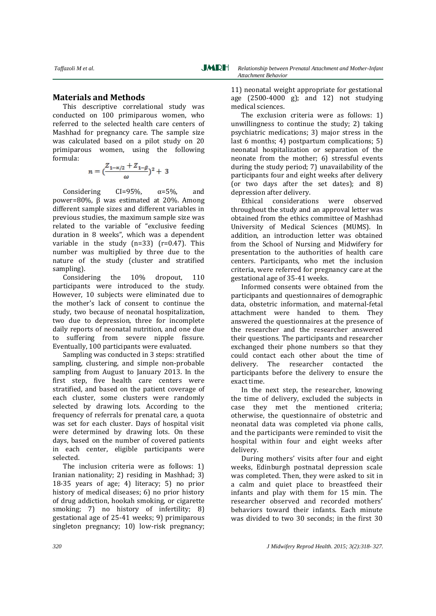#### **Materials and Methods**

This descriptive correlational study was conducted on 100 primiparous women, who referred to the selected health care centers of Mashhad for pregnancy care. The sample size was calculated based on a pilot study on 20 primiparous women, using the following formula:

$$
n = \left(\frac{Z_{1-\alpha/2} + Z_{1-\beta}}{\omega}\right)^2 + 3
$$

Considering  $CI=95\%$ ,  $\alpha=5\%$ , and power=80%, β was estimated at 20%. Among different sample sizes and different variables in previous studies, the maximum sample size was related to the variable of "exclusive feeding duration in 8 weeks", which was a dependent variable in the study  $(n=33)$   $(r=0.47)$ . This number was multiplied by three due to the nature of the study (cluster and stratified sampling).

Considering the 10% dropout, 110 participants were introduced to the study. However, 10 subjects were eliminated due to the mother's lack of consent to continue the study, two because of neonatal hospitalization, two due to depression, three for incomplete daily reports of neonatal nutrition, and one due to suffering from severe nipple fissure. Eventually, 100 participants were evaluated.

Sampling was conducted in 3 steps: stratified sampling, clustering, and simple non-probable sampling from August to January 2013. In the first step, five health care centers were stratified, and based on the patient coverage of each cluster, some clusters were randomly selected by drawing lots. According to the frequency of referrals for prenatal care, a quota was set for each cluster. Days of hospital visit were determined by drawing lots. On these days, based on the number of covered patients in each center, eligible participants were selected.

The inclusion criteria were as follows: 1) Iranian nationality; 2) residing in Mashhad; 3) 18-35 years of age; 4) literacy; 5) no prior history of medical diseases; 6) no prior history of drug addiction, hookah smoking, or cigarette smoking; 7) no history of infertility; 8) gestational age of 25-41 weeks; 9) primiparous singleton pregnancy; 10) low-risk pregnancy; 11) neonatal weight appropriate for gestational age (2500-4000 g); and 12) not studying medical sciences.

The exclusion criteria were as follows: 1) unwillingness to continue the study; 2) taking psychiatric medications; 3) major stress in the last 6 months; 4) postpartum complications; 5) neonatal hospitalization or separation of the neonate from the mother; 6) stressful events during the study period; 7) unavailability of the participants four and eight weeks after delivery (or two days after the set dates); and 8) depression after delivery.

Ethical considerations were observed throughout the study and an approval letter was obtained from the ethics committee of Mashhad University of Medical Sciences (MUMS). In addition, an introduction letter was obtained from the School of Nursing and Midwifery for presentation to the authorities of health care centers. Participants, who met the inclusion criteria, were referred for pregnancy care at the gestational age of 35-41 weeks.

Informed consents were obtained from the participants and questionnaires of demographic data, obstetric information, and maternal-fetal attachment were handed to them. They answered the questionnaires at the presence of the researcher and the researcher answered their questions. The participants and researcher exchanged their phone numbers so that they could contact each other about the time of delivery. The researcher contacted the participants before the delivery to ensure the exact time.

In the next step, the researcher, knowing the time of delivery, excluded the subjects in case they met the mentioned criteria; otherwise, the questionnaire of obstetric and neonatal data was completed via phone calls, and the participants were reminded to visit the hospital within four and eight weeks after delivery.

During mothers' visits after four and eight weeks, Edinburgh postnatal depression scale was completed. Then, they were asked to sit in a calm and quiet place to breastfeed their infants and play with them for 15 min. The researcher observed and recorded mothers' behaviors toward their infants. Each minute was divided to two 30 seconds; in the first 30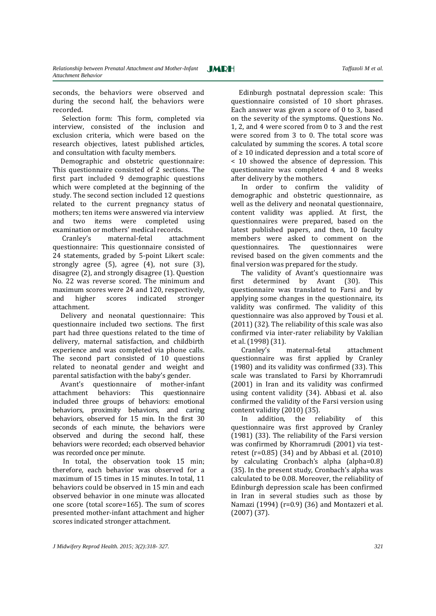seconds, the behaviors were observed and during the second half, the behaviors were recorded.

 Selection form: This form, completed via interview, consisted of the inclusion and exclusion criteria, which were based on the research objectives, latest published articles, and consultation with faculty members.

Demographic and obstetric questionnaire: This questionnaire consisted of 2 sections. The first part included 9 demographic questions which were completed at the beginning of the study. The second section included 12 questions related to the current pregnancy status of mothers; ten items were answered via interview and two items were completed using examination or mothers' medical records.

 Cranley's maternal-fetal attachment questionnaire: This questionnaire consisted of 24 statements, graded by 5-point Likert scale: strongly agree (5), agree (4), not sure (3), disagree (2), and strongly disagree (1). Question No. 22 was reverse scored. The minimum and maximum scores were 24 and 120, respectively, and higher scores indicated stronger attachment.

 Delivery and neonatal questionnaire: This questionnaire included two sections. The first part had three questions related to the time of delivery, maternal satisfaction, and childbirth experience and was completed via phone calls. The second part consisted of 10 questions related to neonatal gender and weight and parental satisfaction with the baby's gender.

 Avant's questionnaire of mother-infant attachment behaviors: This questionnaire included three groups of behaviors: emotional behaviors, proximity behaviors, and caring behaviors, observed for 15 min. In the first 30 seconds of each minute, the behaviors were observed and during the second half, these behaviors were recorded; each observed behavior was recorded once per minute.

In total, the observation took 15 min; therefore, each behavior was observed for a maximum of 15 times in 15 minutes. In total, 11 behaviors could be observed in 15 min and each observed behavior in one minute was allocated one score (total score=165). The sum of scores presented mother-infant attachment and higher scores indicated stronger attachment.

Edinburgh postnatal depression scale: This questionnaire consisted of 10 short phrases. Each answer was given a score of 0 to 3, based on the severity of the symptoms. Questions No. 1, 2, and 4 were scored from 0 to 3 and the rest were scored from 3 to 0. The total score was calculated by summing the scores. A total score of ≥ 10 indicated depression and a total score of < 10 showed the absence of depression. This questionnaire was completed 4 and 8 weeks after delivery by the mothers.

In order to confirm the validity of demographic and obstetric questionnaire, as well as the delivery and neonatal questionnaire, content validity was applied. At first, the questionnaires were prepared, based on the latest published papers, and then, 10 faculty members were asked to comment on the questionnaires. The questionnaires were revised based on the given comments and the final version was prepared for the study.

The validity of Avant's questionnaire was first determined by Avant (30). This questionnaire was translated to Farsi and by applying some changes in the questionnaire, its validity was confirmed. The validity of this questionnaire was also approved by Tousi et al. (2011) (32). The reliability of this scale was also confirmed via inter-rater reliability by Vakilian et al. (1998) (31).

Cranley's maternal-fetal attachment questionnaire was first applied by Cranley (1980) and its validity was confirmed (33). This scale was translated to Farsi by Khorramrudi (2001) in Iran and its validity was confirmed using content validity (34). Abbasi et al. also confirmed the validity of the Farsi version using content validity (2010) (35).

In addition, the reliability of this questionnaire was first approved by Cranley (1981) (33). The reliability of the Farsi version was confirmed by Khorramrudi (2001) via testretest  $(r=0.85)$  (34) and by Abbasi et al. (2010) by calculating Cronbach's alpha (alpha=0.8) (35). In the present study, Cronbach's alpha was calculated to be 0.08. Moreover, the reliability of Edinburgh depression scale has been confirmed in Iran in several studies such as those by Namazi (1994) (r=0.9) (36) and Montazeri et al. (2007) (37).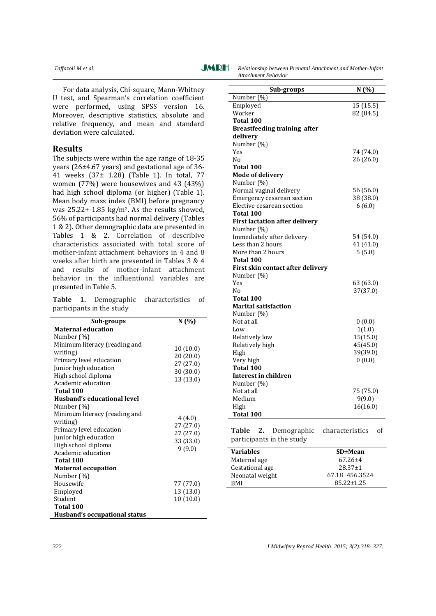*Taffazoli M et al. CARH Relationship between Prenatal Attachment and Mother-Infant Attachment Behavior*

For data analysis, Chi-square, Mann-Whitney U test, and Spearman's correlation coefficient were performed, using SPSS version 16. Moreover, descriptive statistics, absolute and relative frequency, and mean and standard deviation were calculated.

#### **Results**

The subjects were within the age range of 18-35 years (26±4.67 years) and gestational age of 36- 41 weeks (37± 1.28) (Table 1). In total, 77 women (77%) were housewives and 43 (43%) had high school diploma (or higher) (Table 1). Mean body mass index (BMI) before pregnancy was 25.22+-1.85 kg/m2. As the results showed, 56% of participants had normal delivery (Tables 1 & 2). Other demographic data are presented in Tables 1 & 2. Correlation of describive characteristics associated with total score of mother-infant attachment behaviors in 4 and 8 weeks after birth are presented in Tables 3 & 4 and results of mother-infant attachment behavior in the influentional variables are presented in Table 5.

|  |                           | Table 1. Demographic characteristics of |  |
|--|---------------------------|-----------------------------------------|--|
|  | participants in the study |                                         |  |

| Sub-groups                    | N(%       |
|-------------------------------|-----------|
| <b>Maternal education</b>     |           |
| Number (%)                    |           |
| Minimum literacy (reading and | 10(10.0)  |
| writing)                      | 20(20.0)  |
| Primary level education       | 27(27.0)  |
| Junior high education         | 30(30.0)  |
| High school diploma           | 13 (13.0) |
| Academic education            |           |
| Total 100                     |           |
| Husband's educational level   |           |
| Number (%)                    |           |
| Minimum literacy (reading and | 4(4.0)    |
| writing)                      | 27(27.0)  |
| Primary level education       | 27(27.0)  |
| Junior high education         | 33 (33.0) |
| High school diploma           | 9(9.0)    |
| Academic education            |           |
| Total 100                     |           |
| <b>Maternal occupation</b>    |           |
| Number (%)                    |           |
| Housewife                     | 77 (77.0) |
| Employed                      | 13 (13.0) |
| Student                       | 10(10.0)  |
| Total 100                     |           |
| Husband's occupational status |           |

| Sub-groups                               | N(%)      |
|------------------------------------------|-----------|
| Number (%)                               |           |
| Employed                                 | 15 (15.5) |
| Worker                                   | 82 (84.5) |
| Total 100                                |           |
| <b>Breastfeeding training after</b>      |           |
| delivery                                 |           |
| Number (%)                               |           |
| Yes                                      | 74 (74.0) |
| No                                       | 26 (26.0) |
| Total 100                                |           |
| <b>Mode of delivery</b>                  |           |
| Number (%)                               |           |
| Normal vaginal delivery                  | 56 (56.0) |
| Emergency cesarean section               | 38 (38.0) |
| Elective cesarean section                | 6(6.0)    |
| Total 100                                |           |
| <b>First lactation after delivery</b>    |           |
| Number (%)                               |           |
| Immediately after delivery               | 54 (54.0) |
| Less than 2 hours                        | 41 (41.0) |
| More than 2 hours                        | 5(5.0)    |
| Total 100                                |           |
| First skin contact after delivery        |           |
| Number (%)                               |           |
| Yes<br>Nο                                | 63 (63.0) |
|                                          | 37(37.0)  |
| Total 100<br><b>Marital satisfaction</b> |           |
| Number (%)                               |           |
| Not at all                               | 0(0.0)    |
| Low                                      | 1(1.0)    |
| Relatively low                           | 15(15.0)  |
| Relatively high                          | 45(45.0)  |
| High                                     | 39(39.0)  |
| Very high                                | 0(0.0)    |
| Total 100                                |           |
| Interest in children                     |           |
| Number (%)                               |           |
| Not at all                               | 75 (75.0) |
| Medium                                   | 9(9.0)    |
| High                                     | 16(16.0)  |
| Total 100                                |           |

**Table 2.** Demographic characteristics of participants in the study

| <b>Variables</b> | $SD \pm Mean$  |
|------------------|----------------|
| Maternal age     | $67.26 + 4$    |
| Gestational age  | $28.37+1$      |
| Neonatal weight  | 67.18+456.3524 |
| RMI              | $85.22 + 1.25$ |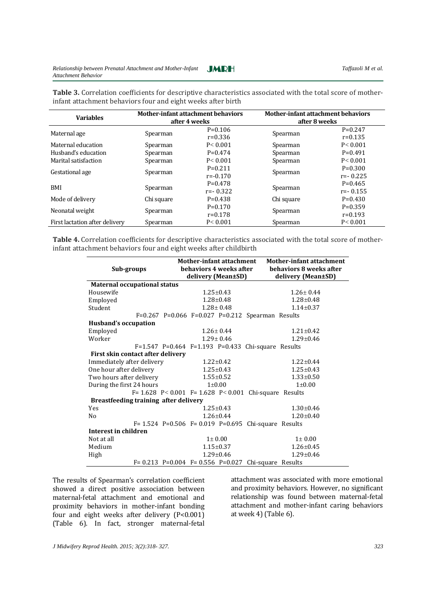**Table 3.** Correlation coefficients for descriptive characteristics associated with the total score of motherinfant attachment behaviors four and eight weeks after birth

| <b>Variables</b>               | <b>Mother-infant attachment behaviors</b><br>after 4 weeks |              | <b>Mother-infant attachment behaviors</b><br>after 8 weeks |            |
|--------------------------------|------------------------------------------------------------|--------------|------------------------------------------------------------|------------|
| Maternal age                   |                                                            | $P=0.106$    |                                                            | $P=0.247$  |
|                                | Spearman                                                   | $r = 0.336$  | Spearman                                                   | $r=0.135$  |
| Maternal education             | Spearman                                                   | P < 0.001    | Spearman                                                   | P < 0.001  |
| Husband's education            | Spearman                                                   | $P=0.474$    | Spearman                                                   | $P=0.491$  |
| Marital satisfaction           | Spearman                                                   | P < 0.001    | Spearman                                                   | P < 0.001  |
|                                |                                                            | $P=0.211$    |                                                            | $P=0.300$  |
| Gestational age                | Spearman                                                   | $r = -0.170$ | Spearman                                                   | $r=-0.225$ |
| BMI                            | Spearman                                                   | $P=0.478$    | Spearman                                                   | $P=0.465$  |
|                                |                                                            | $r=-0.322$   |                                                            | $r=-0.155$ |
| Mode of delivery               | Chi square                                                 | $P=0.438$    | Chi square                                                 | $P=0.430$  |
|                                |                                                            | $P=0.170$    |                                                            | $P=0.359$  |
| Neonatal weight                | Spearman                                                   | $r=0.178$    | Spearman                                                   | $r=0.193$  |
| First lactation after delivery | Spearman                                                   | P < 0.001    | Spearman                                                   | P < 0.001  |
|                                |                                                            |              |                                                            |            |

**Table 4.** Correlation coefficients for descriptive characteristics associated with the total score of motherinfant attachment behaviors four and eight weeks after childbirth

|                                       |  | <b>Mother-infant attachment</b> |                 |                                                                | <b>Mother-infant attachment</b> |
|---------------------------------------|--|---------------------------------|-----------------|----------------------------------------------------------------|---------------------------------|
| Sub-groups                            |  | behaviors 4 weeks after         |                 |                                                                | behaviors 8 weeks after         |
|                                       |  | delivery (Mean±SD)              |                 |                                                                | delivery (Mean±SD)              |
| <b>Maternal occupational status</b>   |  |                                 |                 |                                                                |                                 |
| Housewife                             |  |                                 | $1.25 + 0.43$   |                                                                | $1.26 + 0.44$                   |
| Employed                              |  |                                 | $1.28 + 0.48$   |                                                                | $1.28 + 0.48$                   |
| Student                               |  |                                 | $1.28 + 0.48$   |                                                                | $1.14 \pm 0.37$                 |
|                                       |  |                                 |                 | $F=0.267$ P=0.066 F=0.027 P=0.212 Spearman Results             |                                 |
| Husband's occupation                  |  |                                 |                 |                                                                |                                 |
| Employed                              |  |                                 | $1.26 + 0.44$   |                                                                | $1.21 \pm 0.42$                 |
| Worker                                |  |                                 | $1.29 + 0.46$   |                                                                | $1.29 + 0.46$                   |
|                                       |  |                                 |                 | $F=1.547$ P=0.464 F=1.193 P=0.433 Chi-square Results           |                                 |
| First skin contact after delivery     |  |                                 |                 |                                                                |                                 |
| Immediately after delivery            |  |                                 | $1.22 \pm 0.42$ |                                                                | $1.22 + 0.44$                   |
| One hour after delivery               |  |                                 | $1.25 \pm 0.43$ |                                                                | $1.25 \pm 0.43$                 |
| Two hours after delivery              |  |                                 | $1.55 \pm 0.52$ |                                                                | $1.33 \pm 0.50$                 |
| During the first 24 hours             |  |                                 | $1 + 0.00$      |                                                                | $1+0.00$                        |
|                                       |  |                                 |                 | F= $1.628$ P< $0.001$ F= $1.628$ P< $0.001$ Chi-square Results |                                 |
| Breastfeeding training after delivery |  |                                 |                 |                                                                |                                 |
| Yes                                   |  |                                 | $1.25 \pm 0.43$ |                                                                | $1.30 \pm 0.46$                 |
| N <sub>0</sub>                        |  |                                 | $1.26 + 0.44$   |                                                                | $1.20 + 0.40$                   |
|                                       |  |                                 |                 | $F = 1.524$ P=0.506 F=0.019 P=0.695 Chi-square Results         |                                 |
| Interest in children                  |  |                                 |                 |                                                                |                                 |
| Not at all                            |  |                                 | $1 \pm 0.00$    |                                                                | $1 \pm 0.00$                    |
| Medium                                |  |                                 | $1.15 \pm 0.37$ |                                                                | $1.26 \pm 0.45$                 |
| High                                  |  |                                 | $1.29 + 0.46$   |                                                                | $1.29 + 0.46$                   |
|                                       |  |                                 |                 | F= $0.213$ P= $0.004$ F= $0.556$ P= $0.027$ Chi-square Results |                                 |

The results of Spearman's correlation coefficient showed a direct positive association between maternal-fetal attachment and emotional and proximity behaviors in mother-infant bonding four and eight weeks after delivery (P<0.001) (Table 6). In fact, stronger maternal-fetal attachment was associated with more emotional and proximity behaviors. However, no significant relationship was found between maternal-fetal attachment and mother-infant caring behaviors at week 4) (Table 6).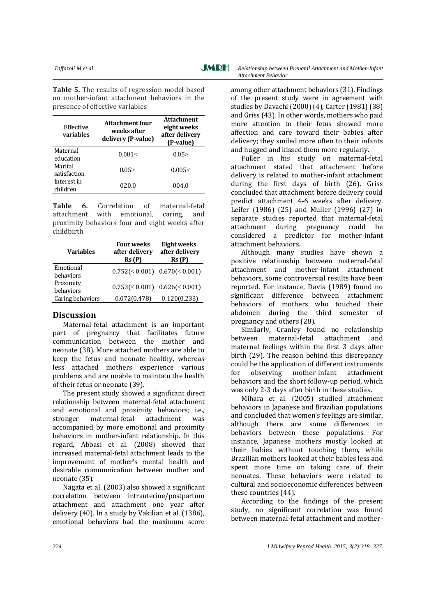**Table 5.** The results of regression model based on mother-infant attachment behaviors in the presence of effective variables

| <b>Effective</b><br>variables | Attachment four<br>weeks after<br>delivery (P-value) | <b>Attachment</b><br>eight weeks<br>after delivery<br>(P-value) |
|-------------------------------|------------------------------------------------------|-----------------------------------------------------------------|
| Maternal<br>education         | 0.001<                                               | 0.05                                                            |
| Marital<br>satisfaction       | 0.05                                                 | 0.005<                                                          |
| Interest in<br>children       | 020.0                                                | 004.0                                                           |

**Table 6.** Correlation of maternal-fetal attachment with emotional, caring, and proximity behaviors four and eight weeks after childbirth

| <b>Variables</b>       | <b>Four weeks</b><br>after delivery<br>Rs(P) | Eight weeks<br>after delivery<br>Rs(P) |
|------------------------|----------------------------------------------|----------------------------------------|
| Emotional<br>behaviors |                                              | $0.752 \le 0.001$ $0.670 \le 0.001$    |
| Proximity<br>behaviors |                                              | $0.753 \leq 0.001$ $0.626 \leq 0.001$  |
| Caring behaviors       | 0.072(0.478)                                 | 0.120(0.233)                           |

### **Discussion**

Maternal-fetal attachment is an important part of pregnancy that facilitates future communication between the mother and neonate (38). More attached mothers are able to keep the fetus and neonate healthy, whereas less attached mothers experience various problems and are unable to maintain the health of their fetus or neonate (39).

The present study showed a significant direct relationship between maternal-fetal attachment and emotional and proximity behaviors; i.e., stronger maternal-fetal attachment was accompanied by more emotional and proximity behaviors in mother-infant relationship. In this regard, Abbasi et al. (2008) showed that increased maternal-fetal attachment leads to the improvement of mother's mental health and desirable communication between mother and neonate (35).

Nagata et al. (2003) also showed a significant correlation between intrauterine/postpartum attachment and attachment one year after delivery (40). In a study by Vakilian et al. (1386), emotional behaviors had the maximum score

among other attachment behaviors (31). Findings of the present study were in agreement with studies by Davachi (2000) (4), Carter (1981) (38) and Griss (43). In other words, mothers who paid more attention to their fetus showed more affection and care toward their babies after delivery; they smiled more often to their infants and hugged and kissed them more regularly.

Fuller in his study on maternal-fetal attachment stated that attachment before delivery is related to mother-infant attachment during the first days of birth (26). Griss concluded that attachment before delivery could predict attachment 4-6 weeks after delivery. Leifer (1986) (25) and Muller (1996) (27) in separate studies reported that maternal-fetal attachment during pregnancy could be considered a predictor for mother-infant attachment behaviors.

Although many studies have shown a positive relationship between maternal-fetal attachment and mother-infant attachment behaviors, some controversial results have been reported. For instance, Davis (1989) found no significant difference between attachment behaviors of mothers who touched their abdomen during the third semester of pregnancy and others (28).

Similarly, Cranley found no relationship between maternal-fetal attachment and maternal feelings within the first 3 days after birth (29). The reason behind this discrepancy could be the application of different instruments for observing mother-infant attachment behaviors and the short follow-up period, which was only 2-3 days after birth in these studies.

Mihara et al. (2005) studied attachment behaviors in Japanese and Brazilian populations and concluded that women's feelings are similar, although there are some differences in behaviors between these populations. For instance, Japanese mothers mostly looked at their babies without touching them, while Brazilian mothers looked at their babies less and spent more time on taking care of their neonates. These behaviors were related to cultural and socioeconomic differences between these countries (44).

According to the findings of the present study, no significant correlation was found between maternal-fetal attachment and mother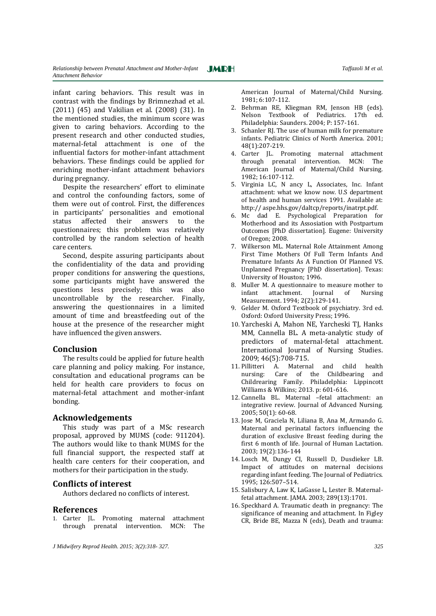infant caring behaviors. This result was in contrast with the findings by Brimnezhad et al. (2011) (45) and Vakilian et al. (2008) (31). In the mentioned studies, the minimum score was given to caring behaviors. According to the present research and other conducted studies, maternal-fetal attachment is one of the influential factors for mother-infant attachment behaviors. These findings could be applied for enriching mother-infant attachment behaviors during pregnancy.

Despite the researchers' effort to eliminate and control the confounding factors, some of them were out of control. First, the differences in participants' personalities and emotional status affected their answers to the questionnaires; this problem was relatively controlled by the random selection of health care centers.

Second, despite assuring participants about the confidentiality of the data and providing proper conditions for answering the questions, some participants might have answered the questions less precisely; this was also uncontrollable by the researcher. Finally, answering the questionnaires in a limited amount of time and breastfeeding out of the house at the presence of the researcher might have influenced the given answers.

#### **Conclusion**

The results could be applied for future health care planning and policy making. For instance, consultation and educational programs can be held for health care providers to focus on maternal-fetal attachment and mother-infant bonding.

#### **Acknowledgements**

This study was part of a MSc research proposal, approved by MUMS (code: 911204). The authors would like to thank MUMS for the full financial support, the respected staff at health care centers for their cooperation, and mothers for their participation in the study.

#### **Conflicts of interest**

Authors declared no conflicts of interest.

#### **References**

1. Carter JL. Promoting maternal attachment through prenatal intervention. MCN: The

*J Midwifery Reprod Health. 2015; 3(2):318- 327. 325*

American Journal of Maternal/Child Nursing. 1981; 6:107-112.

- 2. Behrman RE, Kliegman RM, Jenson HB (eds). Nelson Textbook of Pediatrics. 17th ed. Philadelphia: Saunders. 2004; P: 157-161.
- 3. Schanler RJ. The use of human milk for premature infants. Pediatric Clinics of North America. 2001; 48(1):207-219.
- 4. Carter JL. Promoting maternal attachment through prenatal intervention. MCN: The American Journal of Maternal/Child Nursing. 1982; 16:107-112.
- 5. Virginia LC, N ancy L, Associates, Inc. Infant attachment: what we know now. U.S department of health and human services 1991. Available at: http:// aspe.hhs.gov/daltcp/reports/inatrpt.pdf.
- 6. Mc dad E. Psychological Preparation for Motherhood and its Assosiation with Postpartum Outcomes [PhD dissertation]. Eugene: University of Oregon; 2008.
- 7. Wilkerson ML. Maternal Role Attainment Among First Time Mothers Of Full Term Infants And Premature Infants As A Function Of Planned VS. Unplanned Pregnancy [PhD dissertation]. Texas: University of Houston; 1996.
- 8. Muller M. A questionnaire to measure mother to infant attachment. Journal of Nursing Measurement. 1994; 2(2):129-141.
- 9. Gelder M. Oxford Textbook of psychiatry. 3rd ed. Oxford: Oxford University Press; 1996.
- 10. Yarcheski A, Mahon NE, Yarcheski TJ, Hanks MM, Cannella BL. A meta-analytic study of predictors of maternal-fetal attachment. International Journal of Nursing Studies. 2009; 46(5):708-715.
- 11. Pillitteri A. Maternal and child health nursing: Care of the Childbearing and Childrearing Family. Philadelphia: Lippincott Williams & Wilkins; 2013. p: 601-616.
- 12. Cannella BL. Maternal –fetal attachment: an integrative review. Journal of Advanced Nursing. 2005; 50(1): 60-68.
- 13. Jose M, Graciela N, Liliana B, Ana M, Armando G. Maternal and perinatal factors influencing the duration of exclusive Breast feeding during the first 6 month of life. Journal of Human Lactation. 2003; 19(2):136-144
- 14. Losch M, Dungy CI, Russell D, Dusdieker LB. Impact of attitudes on maternal decisions regarding infant feeding. The Journal of Pediatrics. 1995; 126:507–514.
- 15. Salisbury A, Law K, LaGasse L, Lester B. Maternalfetal attachment. JAMA. 2003; 289(13):1701.
- 16. Speckhard A. Traumatic death in pregnancy: The significance of meaning and attachment. In Figley CR, Bride BE, Mazza N (eds), Death and trauma: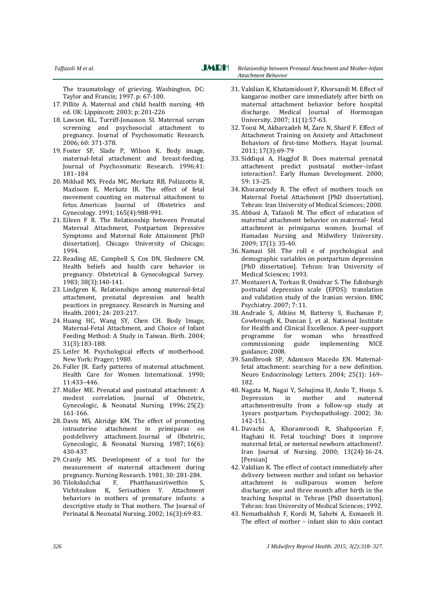**JMRH** 

**Taffazoli** *M et al.* **Comparison in the contract of** *Relationship between Prenatal Attachment and Mother-Infant Attachment Behavior*

The traumatology of grieving. Washington, DC: Taylor and Francis; 1997. p: 67-100.

- 17. Pillite A. Maternal and child health nursing. 4th ed. UK: Lippincott; 2003; p: 201-226
- 18. Lawson KL, Turriff-Jonasson SI. Maternal serum screening and psychosocial attachment to pregnancy. Journal of Psychosomatic Research. 2006; 60: 371-378.
- 19. Foster SF, Slade P, Wilson K. Body image, maternal-fetal attachment and breast-feeding. Journal of Psychosomatic Research. 1996;41: 181–184
- 20. Mikhail MS, Freda MC, Merkatz RB, Polizzotto R, Mazloom E, Merkatz IR. The effect of fetal movement counting on maternal attachment to fetus. American Journal of Obstetrics and Gynecology. 1991; 165(4):988-991.
- 21. Eileen F R. The Relationship between Prenatal Maternal Attachment, Postpartum Depressive Symptoms and Maternal Role Attainment [PhD dissertation]. Chicago: University of Chicago; 1994.
- 22. Reading AE, Campbell S, Cox DN, Sledmere CM. Health beliefs and health care behavior in pregnancy. Obstetrical & Gynecological Survey. 1983; 38(3):140-141.
- 23. Lindgren K. Relationships among maternal-fetal attachment, prenatal depression and health peactices in pregnancy. Research in Nursing and Health. 2001; 24: 203-217.
- 24. Huang HC, Wang SY, Chen CH. Body Image, Maternal-Fetal Attachment, and Choice of Infant Feeding Method: A Study in Taiwan. Birth. 2004; 31(3):183-188.
- 25. Leifer M. Psychological effects of motherhood. New York: Prager; 1980.
- 26. Fuller JR. Early patterns of maternal attachment. Health Care for Women International. 1990; 11:433–446.
- 27. Müller ME. Prenatal and postnatal attachment: A modest correlation. Journal of Obstetric, Gynecologic, & Neonatal Nursing. 1996; 25(2): 161-166.
- 28. Davis MS, Akridge KM. The effect of promoting intrauterine attachment in primiparas on postdelivery attachment. Journal of Obstetric, Gynecologic, & Neonatal Nursing. 1987; 16(6): 430-437.
- 29. Cranly MS. Development of a tool for the measurement of maternal attachment during pregnancy. Nursing Research. 1981; 30: 281-284.
- 30. Tilokskulchai F, Phatthanasiriwethin S, Vichitsukon K, Serisathien Y. Attachment behaviors in mothers of premature infants: a descriptive study in Thai mothers. The Journal of Perinatal & Neonatal Nursing. 2002; 16(3):69-83.
- 31. Vakilian K, Khatamidoost F, Khorsandi M. Effect of kangaroo mother care immediately after birth on maternal attachment behavior before hospital discharge. Medical Journal of Hormozgan University. 2007; 11(1):57-63.
- 32. Toosi M, Akbarzadeh M, Zare N, Sharif F. Effect of Attachment Training on Anxiety and Attachment Behaviors of first-time Mothers. Hayat Journal. 2011; 17(3):69-79
- 33. Siddiqui A, Hagglof B. Does maternal prenatal attachment predict postnatal mother–infant interaction?. Early Human Development. 2000; 59: 13–25.
- 34. Khoramrody R. The effect of mothers touch on Maternal Foetal Attachment [PhD dissertation]. Tehran: Iran University of Medical Sciences; 2000.
- 35. Abbasi A, Tafazoli M. The effect of education of maternal attachment behavior on maternal- fetal attachment in primiparus women. Journal of Hamadan Nursing and Midwifery University. 2009; 17(1): 35-40.
- 36. Namazi SH. The roll e of psychological and demographic variables on postpartum depression [PhD dissertation]. Tehran: Iran University of Medical Sciences; 1993.
- 37. Montazeri A, Torkan B, Omidvar S. The Edinburgh postnatal depression scale (EPDS): translation and validation study of the Iranian version. BMC Psychiatry. 2007; 7: 11.
- 38. Andrade S, Atkins M, Battersy S, Buchanan P, Cowbrough K, Duncan J, et al. National Institute for Health and Clinical Excellence. A peer-support programme for woman who breastfeed commissioning guide implementing NICE guidance; 2008.
- 39. Sandbrook SP, Adamson Macedo EN. Maternalfetal attachment: searching for a new definition. Neuro Endocrinology Letters. 2004; 25(1): 169– 182.
- 40. Nagata M, Nagai Y, Sobajima H, Ando T, Honjo S. Depression in mother and maternal attachmentresults from a follow-up study at 1years postpartum. Psychopathology. 2002; 36: 142-151.
- 41. Davachi A, Khoramroodi R, Shahpoorian F, Haghani H. Fetal touching! Does it improve maternal fetal, or meternal newborn attachment?. Iran Journal of Nursing. 2000; 13(24):16-24. [Persian]
- 42. Vakilian K. The effect of contact immediately after delivery between mother and infant on behavior attachment in nulliparous women before discharge, one and three month after birth in the teaching hospital in Tehran [PhD dissertation]. Tehran: Iran University of Medical Sciences; 1992.
- 43. Nematbakhsh F, Kordi M, Sahebi A, Esmaeeli H. The effect of mother – infant skin to skin contact

*326 J Midwifery Reprod Health. 2015; 3(2):318- 327.*